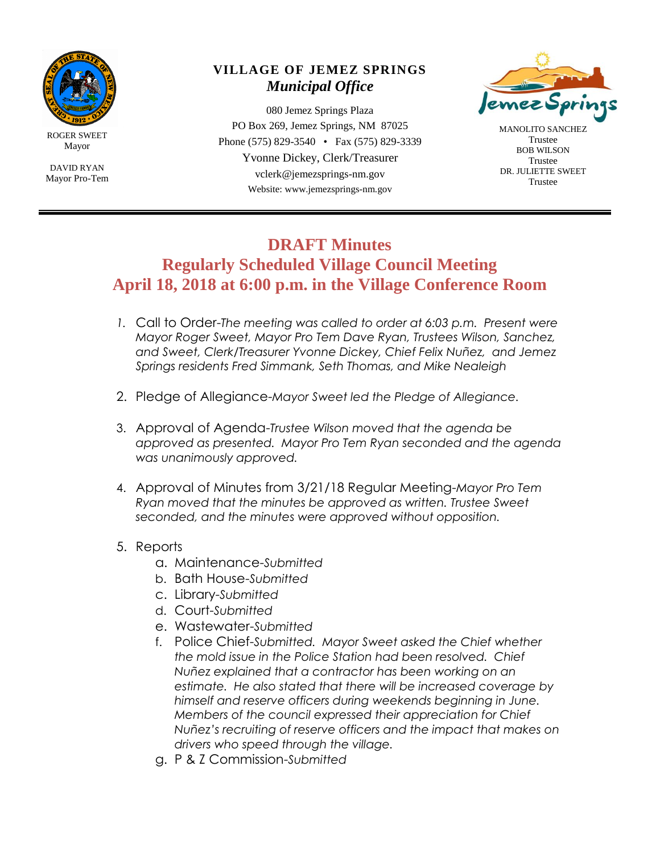

ROGER SWEET Mayor

DAVID RYAN Mayor Pro-Tem

## **VILLAGE OF JEMEZ SPRINGS** *Municipal Office*

080 Jemez Springs Plaza PO Box 269, Jemez Springs, NM 87025 Phone (575) 829-3540 • Fax (575) 829-3339 Yvonne Dickey, Clerk/Treasurer vclerk@jemezsprings-nm.gov Website: www.jemezsprings-nm.gov



MANOLITO SANCHEZ Trustee BOB WILSON Trustee DR. JULIETTE SWEET Trustee

## **DRAFT Minutes**

**Regularly Scheduled Village Council Meeting April 18, 2018 at 6:00 p.m. in the Village Conference Room**

- *1.* Call to Order-*The meeting was called to order at 6:03 p.m. Present were Mayor Roger Sweet, Mayor Pro Tem Dave Ryan, Trustees Wilson, Sanchez, and Sweet, Clerk/Treasurer Yvonne Dickey, Chief Felix Nuñez, and Jemez Springs residents Fred Simmank, Seth Thomas, and Mike Nealeigh*
- 2. Pledge of Allegiance-*Mayor Sweet led the Pledge of Allegiance.*
- 3. Approval of Agenda-*Trustee Wilson moved that the agenda be approved as presented. Mayor Pro Tem Ryan seconded and the agenda was unanimously approved.*
- 4. Approval of Minutes from 3/21/18 Regular Meeting-*Mayor Pro Tem Ryan moved that the minutes be approved as written. Trustee Sweet seconded, and the minutes were approved without opposition.*
- 5. Reports
	- a. Maintenance-*Submitted*
	- b. Bath House-*Submitted*
	- c. Library-*Submitted*
	- d. Court-*Submitted*
	- e. Wastewater-*Submitted*
	- f. Police Chief-*Submitted. Mayor Sweet asked the Chief whether the mold issue in the Police Station had been resolved. Chief Nuñez explained that a contractor has been working on an estimate. He also stated that there will be increased coverage by himself and reserve officers during weekends beginning in June. Members of the council expressed their appreciation for Chief Nuñez's recruiting of reserve officers and the impact that makes on drivers who speed through the village.*
	- g. P & Z Commission-*Submitted*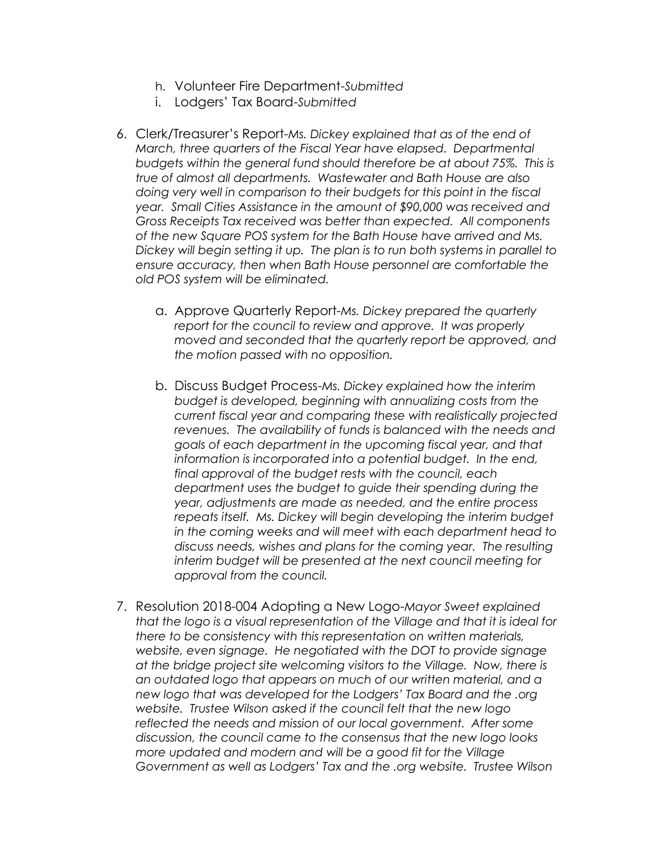- h. Volunteer Fire Department-*Submitted*
- i. Lodgers' Tax Board-*Submitted*
- 6. Clerk/Treasurer's Report-*Ms. Dickey explained that as of the end of March, three quarters of the Fiscal Year have elapsed. Departmental budgets within the general fund should therefore be at about 75%. This is true of almost all departments. Wastewater and Bath House are also doing very well in comparison to their budgets for this point in the fiscal year. Small Cities Assistance in the amount of \$90,000 was received and Gross Receipts Tax received was better than expected. All components of the new Square POS system for the Bath House have arrived and Ms. Dickey will begin setting it up. The plan is to run both systems in parallel to ensure accuracy, then when Bath House personnel are comfortable the old POS system will be eliminated.*
	- a. Approve Quarterly Report-*Ms. Dickey prepared the quarterly report for the council to review and approve. It was properly moved and seconded that the quarterly report be approved, and the motion passed with no opposition.*
	- b. Discuss Budget Process-*Ms. Dickey explained how the interim budget is developed, beginning with annualizing costs from the current fiscal year and comparing these with realistically projected revenues. The availability of funds is balanced with the needs and goals of each department in the upcoming fiscal year, and that information is incorporated into a potential budget. In the end, final approval of the budget rests with the council, each department uses the budget to guide their spending during the year, adjustments are made as needed, and the entire process repeats itself. Ms. Dickey will begin developing the interim budget in the coming weeks and will meet with each department head to discuss needs, wishes and plans for the coming year. The resulting interim budget will be presented at the next council meeting for approval from the council.*
- 7. Resolution 2018-004 Adopting a New Logo-*Mayor Sweet explained that the logo is a visual representation of the Village and that it is ideal for there to be consistency with this representation on written materials, website, even signage. He negotiated with the DOT to provide signage at the bridge project site welcoming visitors to the Village. Now, there is an outdated logo that appears on much of our written material, and a new logo that was developed for the Lodgers' Tax Board and the .org website. Trustee Wilson asked if the council felt that the new logo reflected the needs and mission of our local government. After some discussion, the council came to the consensus that the new logo looks more updated and modern and will be a good fit for the Village Government as well as Lodgers' Tax and the .org website. Trustee Wilson*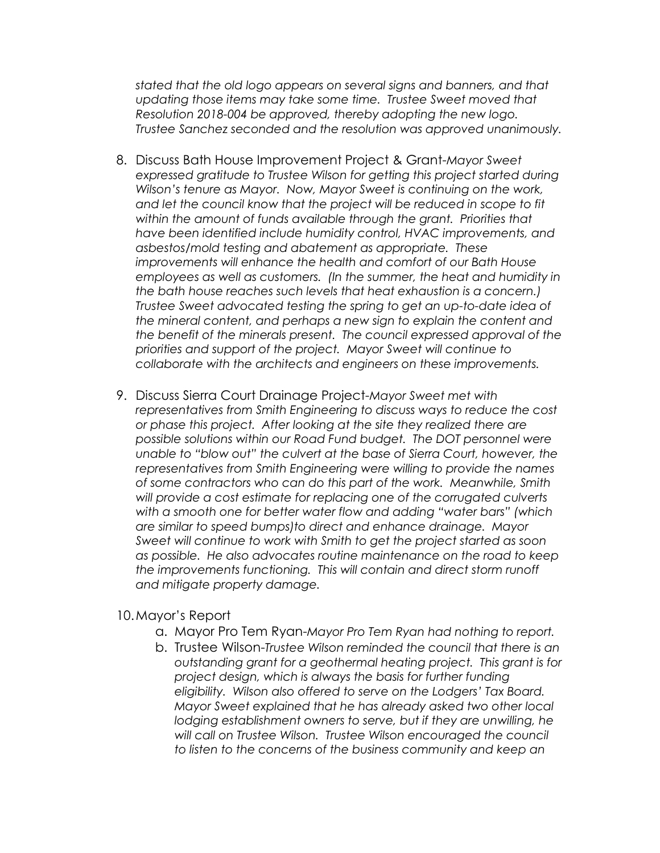*stated that the old logo appears on several signs and banners, and that updating those items may take some time. Trustee Sweet moved that Resolution 2018-004 be approved, thereby adopting the new logo. Trustee Sanchez seconded and the resolution was approved unanimously.*

- 8. Discuss Bath House Improvement Project & Grant-*Mayor Sweet*  expressed gratitude to Trustee Wilson for getting this project started during *Wilson's tenure as Mayor. Now, Mayor Sweet is continuing on the work, and let the council know that the project will be reduced in scope to fit within the amount of funds available through the grant. Priorities that have been identified include humidity control, HVAC improvements, and asbestos/mold testing and abatement as appropriate. These improvements will enhance the health and comfort of our Bath House employees as well as customers. (In the summer, the heat and humidity in the bath house reaches such levels that heat exhaustion is a concern.) Trustee Sweet advocated testing the spring to get an up-to-date idea of the mineral content, and perhaps a new sign to explain the content and the benefit of the minerals present. The council expressed approval of the priorities and support of the project. Mayor Sweet will continue to collaborate with the architects and engineers on these improvements.*
- 9. Discuss Sierra Court Drainage Project-*Mayor Sweet met with representatives from Smith Engineering to discuss ways to reduce the cost or phase this project. After looking at the site they realized there are possible solutions within our Road Fund budget. The DOT personnel were unable to "blow out" the culvert at the base of Sierra Court, however, the representatives from Smith Engineering were willing to provide the names of some contractors who can do this part of the work. Meanwhile, Smith will provide a cost estimate for replacing one of the corrugated culverts with a smooth one for better water flow and adding "water bars" (which are similar to speed bumps)to direct and enhance drainage. Mayor Sweet will continue to work with Smith to get the project started as soon as possible. He also advocates routine maintenance on the road to keep the improvements functioning. This will contain and direct storm runoff and mitigate property damage.*

## 10.Mayor's Report

- a. Mayor Pro Tem Ryan-*Mayor Pro Tem Ryan had nothing to report.*
- b. Trustee Wilson-*Trustee Wilson reminded the council that there is an outstanding grant for a geothermal heating project. This grant is for project design, which is always the basis for further funding eligibility. Wilson also offered to serve on the Lodgers' Tax Board. Mayor Sweet explained that he has already asked two other local lodging establishment owners to serve, but if they are unwilling, he will call on Trustee Wilson. Trustee Wilson encouraged the council to listen to the concerns of the business community and keep an*